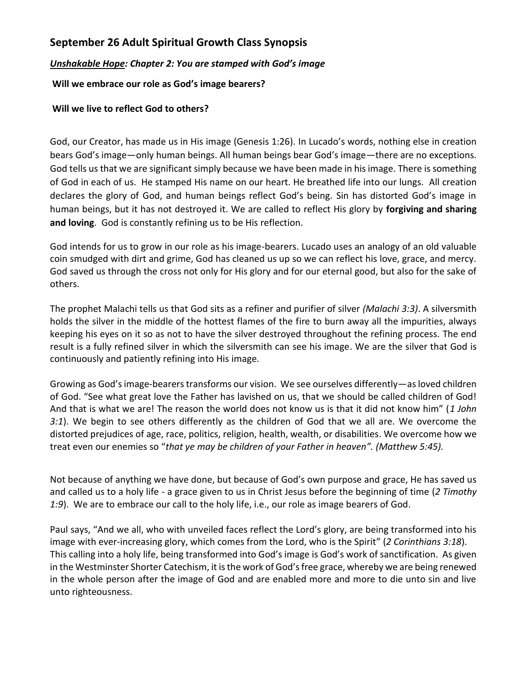## **September 26 Adult Spiritual Growth Class Synopsis**

## *Unshakable Hope: Chapter 2: You are stamped with God's image*

## **Will we embrace our role as God's image bearers?**

## **Will we live to reflect God to others?**

God, our Creator, has made us in His image (Genesis 1:26). In Lucado's words, nothing else in creation bears God's image—only human beings. All human beings bear God's image—there are no exceptions. God tells us that we are significant simply because we have been made in his image. There is something of God in each of us. He stamped His name on our heart. He breathed life into our lungs. All creation declares the glory of God, and human beings reflect God's being. Sin has distorted God's image in human beings, but it has not destroyed it. We are called to reflect His glory by **forgiving and sharing and loving**. God is constantly refining us to be His reflection.

God intends for us to grow in our role as his image-bearers. Lucado uses an analogy of an old valuable coin smudged with dirt and grime, God has cleaned us up so we can reflect his love, grace, and mercy. God saved us through the cross not only for His glory and for our eternal good, but also for the sake of others.

The prophet Malachi tells us that God sits as a refiner and purifier of silver *(Malachi 3:3)*. A silversmith holds the silver in the middle of the hottest flames of the fire to burn away all the impurities, always keeping his eyes on it so as not to have the silver destroyed throughout the refining process. The end result is a fully refined silver in which the silversmith can see his image. We are the silver that God is continuously and patiently refining into His image.

Growing as God's image-bearers transforms our vision. We see ourselves differently—as loved children of God. "See what great love the Father has lavished on us, that we should be called children of God! And that is what we are! The reason the world does not know us is that it did not know him" (*1 John 3:1*). We begin to see others differently as the children of God that we all are. We overcome the distorted prejudices of age, race, politics, religion, health, wealth, or disabilities. We overcome how we treat even our enemies so "*that ye may be children of your Father in heaven". (Matthew 5:45).*

Not because of anything we have done, but because of God's own purpose and grace, He has saved us and called us to a holy life - a grace given to us in Christ Jesus before the beginning of time (*2 Timothy 1:9*). We are to embrace our call to the holy life, i.e., our role as image bearers of God.

Paul says, "And we all, who with unveiled faces reflect the Lord's glory, are being transformed into his image with ever-increasing glory, which comes from the Lord, who is the Spirit" (*2 Corinthians 3:18*). This calling into a holy life, being transformed into God's image is God's work of sanctification. As given in the Westminster Shorter Catechism, it is the work of God's free grace, whereby we are being renewed in the whole person after the image of God and are enabled more and more to die unto sin and live unto righteousness.